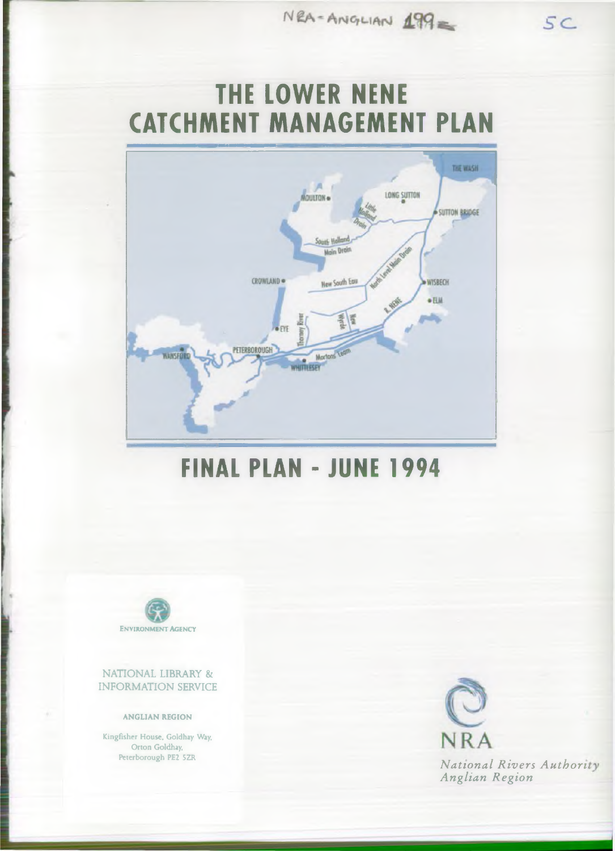$NRA = Anio<sub>1</sub>$ LIAN  $\angle 199$ 

# **THE LOWER NENE CATCHMENT MANAGEMENT PLAN**



## **FINAL PLAN-JUNE 1994**



NATIONAL LIBRARY & INFORMATION SERVICE

#### ANGLIAN REGION

Kingfisher House, Goldhay Way, Orton Goldhay,



Peterborough PE2 5ZR<br> *National Rivers Author*<br> *Anglian Region* 

 $SC$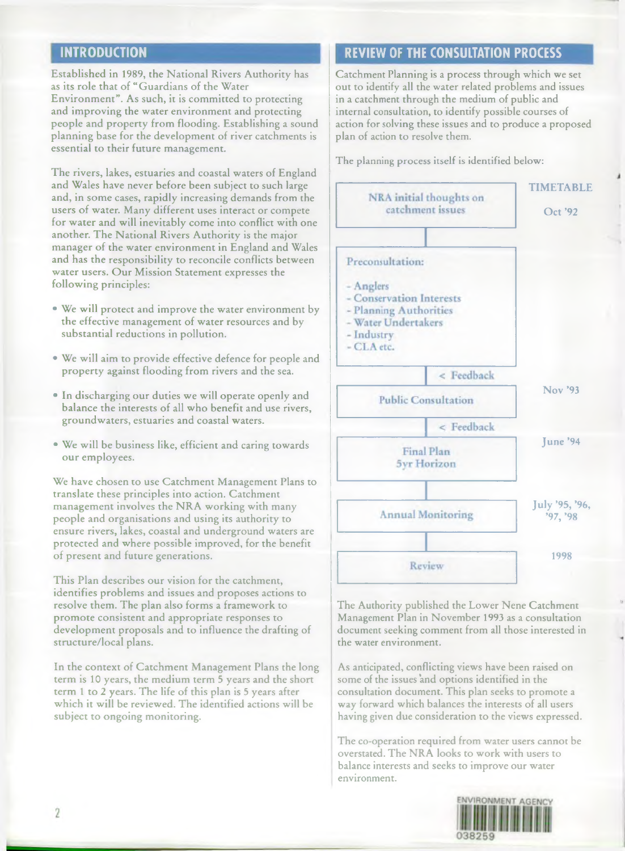Established in 1989, the National Rivers Authority has as its role that of "Guardians of the Water Environment". As such, it is committed to protecting and improving the water environment and protecting people and property from flooding. Establishing a sound planning base for the development of river catchments is essential to their future management.

The rivers, lakes, estuaries and coastal waters of England and Wales have never before been subject to such large and, in some cases, rapidly increasing demands from the users of water. Many different uses interact or compete for water and will inevitably come into conflict with one another. The National Rivers Authority is the major manager of the water environment in England and Wales and has the responsibility to reconcile conflicts between water users. Our Mission Statement expresses the following principles:

- We will protect and improve the water environment by the effective management of water resources and by substantial reductions in pollution.
- We will aim to provide effective defence for people and property against flooding from rivers and the sea.
- In discharging our duties we will operate openly and balance the interests of all who benefit and use rivers, groundw aters, estuaries and coastal waters.
- We will be business like, efficient and caring towards our employees.

We have chosen to use Catchment Management Plans to translate these principles into action. Catchment management involves the NRA working with many people and organisations and using its authority to ensure rivers, lakes, coastal and underground waters are protected and where possible improved, for the benefit of present and future generations.

This Plan describes our vision for the catchment, identifies problems and issues and proposes actions to resolve them. The plan also forms a framework to promote consistent and appropriate responses to development proposals and to influence the drafting of structure/local plans.

In the context of Catchment Management Plans the long term is 10 years, the medium term 5 years and the short term 1 to 2 years. The life of this plan is 5 years after which it will be reviewed. The identified actions will be subject to ongoing monitoring.

### **INTRODUCTION REVIEW OF THE CONSULTATION PROCESS**

Catchment Planning is a process through which we set out to identify all the water related problems and issues in a catchment through the medium of public and internal consultation, to identify possible courses of action for solving these issues and to produce a proposed plan of action to resolve them.

The planning process itself is identified below:



The Authority published the Lower Nene Catchment Management Plan in November 1993 as a consultation document seeking comment from all those interested in the water environment.

As anticipated, conflicting views have been raised on some of the issues 'and options identified in the consultation document. This plan seeks to promote a way forward which balances the interests of all users having given due consideration to the views expressed.

The co-operation required from water users cannot be overstated. The NRA looks to work with users to balance interests and seeks to improve our water environment.

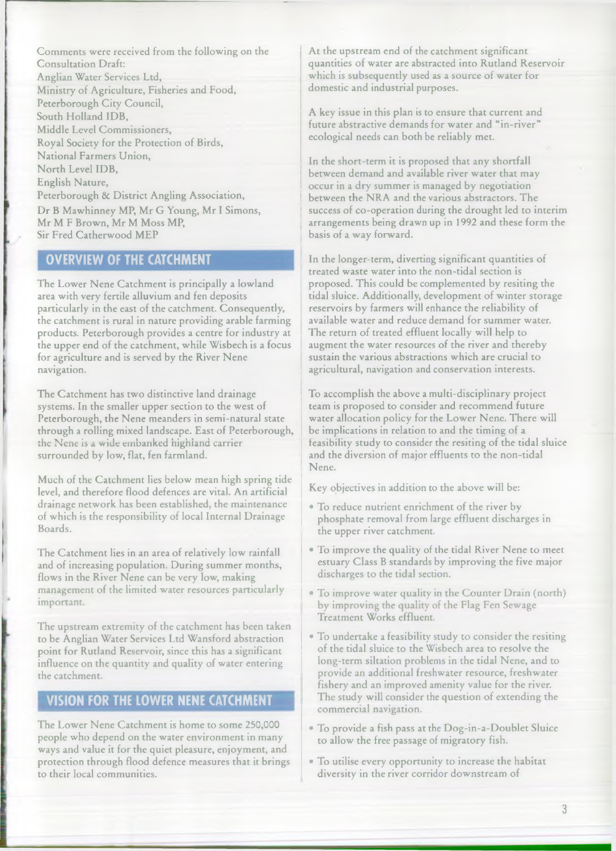Comments were received from the following on the Consultation Draft: Anglian Water Services Ltd, Ministry of Agriculture, Fisheries and Food, Peterborough City Council, South Holland IDB, Middle Level Commissioners, Royal Society for the Protection of Birds, National Farmers Union, North Level IDB. English Nature, Peterborough & District Angling Association, Dr B Mawhinney MP, Mr G Young, Mr I Simons, Mr M F Brown, Mr M Moss MP,

Sir Fred Catherwood MEP

## **OVERVIEW OF THE CATCHMENT**

The Lower Nene Catchment is principally a lowland area with very fertile alluvium and fen deposits particularly in the east of the catchment. Consequently, the catchment is rural in nature providing arable farming products. Peterborough provides a centre for industry at the upper end of the catchment, while Wisbech is a focus for agriculture and is served by the River Nene navigation.

The Catchment has two distinctive land drainage systems. In the smaller upper section to the west of Peterborough, the Nene meanders in semi-natural state through a rolling mixed landscape. East of Peterborough, the Nene is a wide embanked highland carrier surrounded by low, flat, fen farmland.

Much of the Catchment lies below mean high spring tide level, and therefore flood defences are vital. An artificial drainage network has been established, the maintenance of which is the responsibility of local Internal Drainage Boards.

The Catchment lies in an area of relatively low rainfall and of increasing population. During summer months, flows in the River Nene can be very low, making management of the limited water resources particularly important.

The upstream extremity of the catchment has been taken to be Anglian Water Services Ltd Wansford abstraction point for Rutland Reservoir, since this has a significant influence on the quantity and quality of water entering the catchment.

### **VISION FOR THE LOWER NENE CATCHMENT**

The Lower Nene Catchment is home to some 250,000 people who depend on the water environment in many ways and value it for the quiet pleasure, enjoyment, and protection through flood defence measures that it brings to their local communities.

At the upstream end of the catchment significant quantities of water are abstracted into Rutland Reservoir which is subsequently used as a source of water for domestic and industrial purposes.

A key issue in this plan is to ensure that current and future abstractive demands for water and "in-river" ecological needs can both be reliably met.

In the short-term it is proposed that any shortfall between demand and available river water that may occur in a dry summer is managed by negotiation between the NRA and the various abstractors. The success of co-operation during the drought led to interim arrangements being drawn up in 1992 and these form the basis of a way forward.

In the longer-term, diverting significant quantities of treated waste water into the non-tidal section is proposed. This could be complemented by resiting the tidal sluice. Additionally, development of winter storage reservoirs by farmers will enhance the reliability of available water and reduce demand for summer water. The return of treated effluent locally will help to augment the water resources of the river and thereby sustain the various abstractions which are crucial to agricultural, navigation and conservation interests.

To accomplish the above a multi-disciplinary project team is proposed to consider and recommend future water allocation policy for the Lower Nene. There will be implications in relation to and the timing of a feasibility study to consider the resiting of the tidal sluice and the diversion of major effluents to the non-tidal Nene.

Key objectives in addition to the above will be:

- To reduce nutrient enrichment of the river by phosphate removal from large effluent discharges in the upper river catchment.
- To improve the quality of the tidal River Nene to meet estuary Class B standards by improving the five major discharges to the tidal section.
- To improve water quality in the Counter Drain (north) by improving the quality of the Flag Fen Sewage Treatment Works effluent.
- To undertake a feasibility study to consider the resiting of the tidal sluice to the Wisbech area to resolve the long-term siltation problems in the tidal Nene, and to provide an additional freshwater resource, freshwater fishery and an improved amenity value for the river. The study will consider the question of extending the commercial navigation.
- To provide a fish pass at the Dog-in-a-Doublet Sluice to allow the free passage of migratory fish.
- To utilise every opportunity to increase the habitat diversity in the river corridor downstream of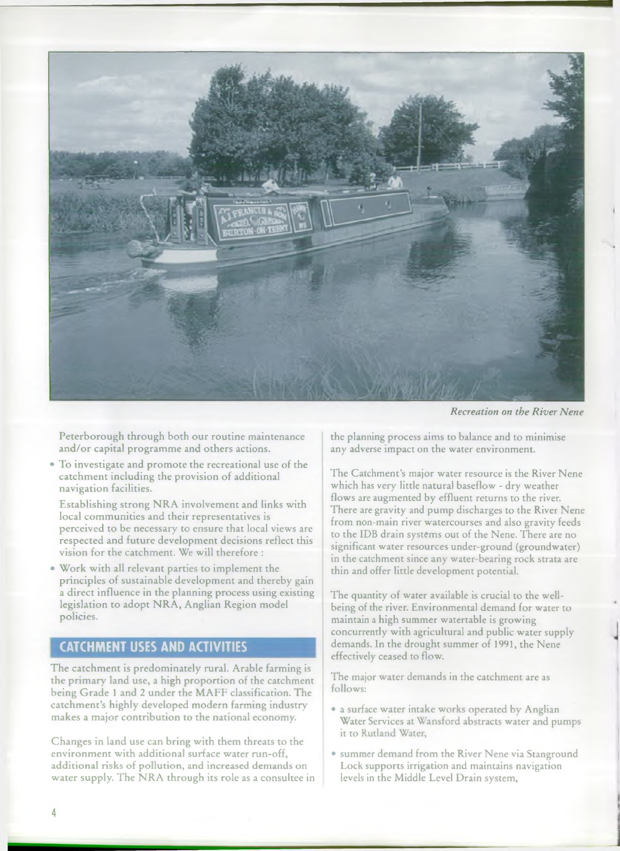

*Recreation on the River Nene*

Peterborough through both our routine maintenance and/or capital programme and others actions.

• To investigate and prom ote the recreational use of the catchment including the provision of additional navigation facilities.

Establishing strong NRA involvement and links with local communities and their representatives is perceived to be necessary to ensure that local views are respected and future development decisions reflect this vision for the catchment. We will therefore :

Work with all relevant parties to implement the principles of sustainable development and thereby gain a direct influence in the planning process using existing legislation to adopt NRA, Anglian Region model policies.

#### **CATCHMENT USES AND ACTIVITIES**

The catchment is predominately rural. Arable farming is the primary land use, a high proportion of the catchment being Grade 1 and 2 under the MAFF classification. The catchment's highly developed modern farming industry makes a major contribution to the national economy.

Changes in land use can bring with them threats to the environment with additional surface water run-off, additional risks of pollution, and increased demands on water supply. The NRA through its role as a consultee in the planning process aims to balance and to minimise any adverse impact on the water environment.

The Catchment's major water resource is the River Nene which has very little natural baseflow - dry weather flows are augmented by effluent returns to the river. There are gravity and pump discharges to the River Nene from non-main river watercourses and also gravity feeds to the IDB drain systems out of the Nene. There are no significant water resources under-ground (groundwater) in the catchment since any water-bearing rock strata are thin and offer little development potential.

The quantity of water available is crucial to the wellbeing of the river. Environmental demand for water to maintain a high summer watertable is growing concurrently with agricultural and public water supply demands. In the drought summer of 1991, the Nene effectively ceased to flow.

The major water demands in the catchment are as follows:

- a surface water intake works operated by Anglian Water Services at Wansford abstracts water and pumps it to Rutland Water,
- summer demand from the River Nene via Stanground Lock supports irrigation and maintains navigation levels in the Middle Level Drain system,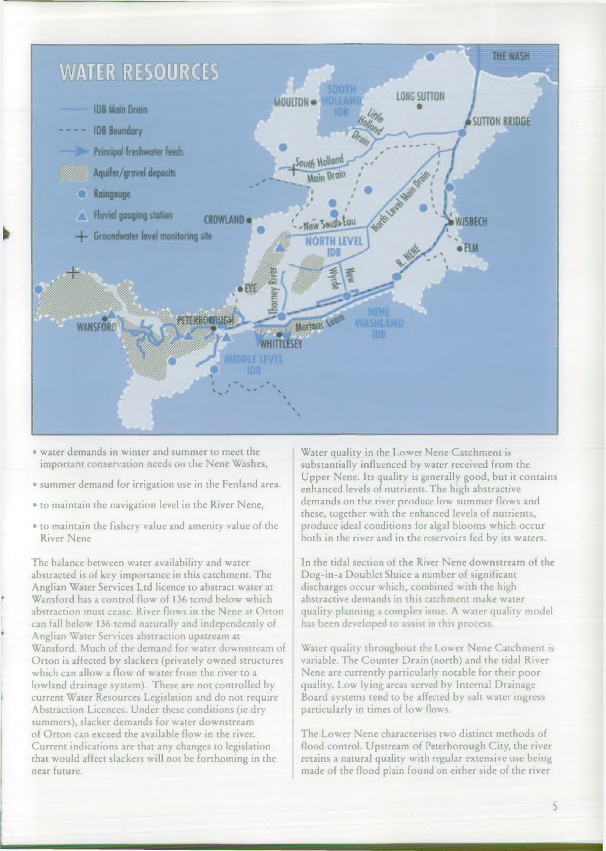

- water demands in winter and summer to meet the important conservation needs on the Nene Washes,
- summer demand for irrigation use in the Fenland area.
- to maintain the navigation level in the River Nene,
- to maintain the fishery value and amenity value of the River Nene

The balance between water availability and water abstracted is of key importance in this catchment. The Anglian Water Services Ltd licence to abstract water at Wansford has a control flow of 136 tcmd below which abstraction must cease. River flows in the Nene at Orton can fall below 136 tcmd naturally and independently of Anglian Water Services abstraction upstream at Wansford. Much of the demand for water downstream of Orton is affected by slackers (privately owned structures which can allow a flow of water from the river to a lowland drainage system). These are not controlled by current Water Resources Legislation and do not require Abstraction Licences. Under these conditions (ie dry summers), slacker demands for water downstream of Orton can exceed the available flow in the river. Current indications are that any changes to legislation that would affect slackers will not be forthoming in the near future.

Water quality in the Lower Nene Catchment is substantially influenced by water received from the Upper Nene. Its quality is generally good, but it contains enhanced levels of nutrients. The high abstractive demands on the river produce low summer flows and these, together with the enhanced levels of nutrients, produce ideal conditions for algal blooms which occur both in the river and in the reservoirs fed by its waters.

In the tidal section of the River Nene downstream of the Dog-in-a Doublet Sluice a number of significant discharges occur which, combined with the high abstractive demands in this catchment make water quality planning a complex issue. A water quality model has been developed to assist in this process.

Water quality throughout the Lower Nene Catchment is variable. The Counter Drain (north) and the tidal River Nene are currently particularly notable for their poor quality. Low lying areas served by Internal Drainage Board systems tend to be affected by salt water ingress particularly in times of low flows.

The Lower Nene characterises two distinct methods of flood control. Upstream of Peterborough City, the river retains a natural quality with regular extensive use being made of the flood plain found on either side of the river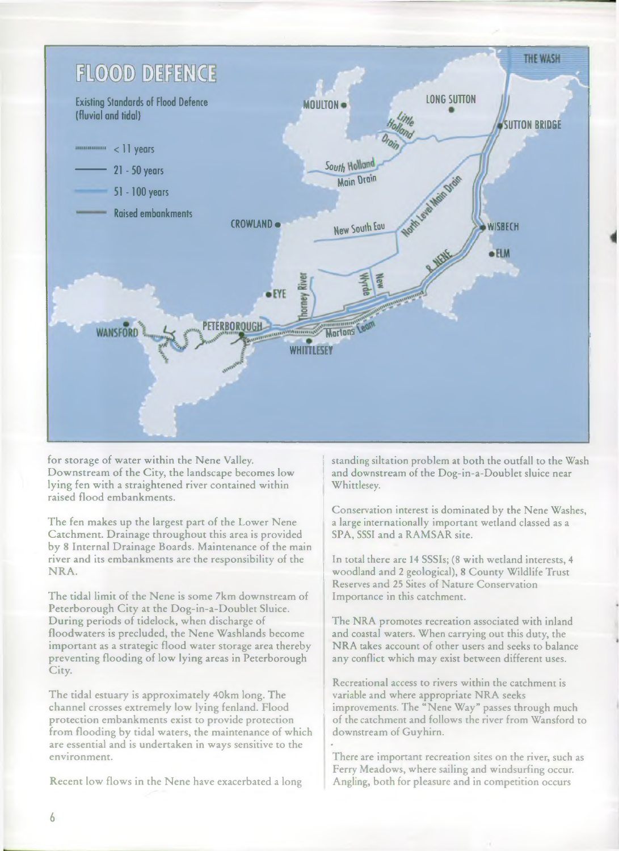

for storage of water within the Nene Valley. Downstream of the City, the landscape becomes low lying fen with a straightened river contained within raised flood embankments.

The fen makes up the largest part of the Lower Nene Catchment. Drainage throughout this area is provided by 8 Internal Drainage Boards. Maintenance of the main river and its embankments are the responsibility of the NRA.

The tidal limit of the Nene is some 7km downstream of Peterborough City at the Dog-in-a-Doublet Sluice. During periods of tidelock, when discharge of floodwaters is precluded, the Nene Washlands become important as a strategic flood water storage area thereby preventing flooding of low lying areas in Peterborough City.

The tidal estuary is approximately 40km long. The channel crosses extremely low lying fenland. Flood protection embankments exist to provide protection from flooding by tidal waters, the maintenance of which are essential and is undertaken in ways sensitive to the environment.

Recent low flows in the Nene have exacerbated a long

standing siltation problem at both the outfall to the Wash and downstream of the Dog-in-a-Doublet sluice near Whittlesey.

Conservation interest is dominated by the Nene Washes, a large internationally important wetland classed as a SPA, SSSI and a RAMSAR site.

In total there are 14 SSSIs; (8 with wetland interests, 4 woodland and 2 geological), 8 County Wildlife Trust Reserves and 25 Sites of Nature Conservation Importance in this catchment.

The NRA promotes recreation associated with inland and coastal waters. When carrying out this duty, the NRA takes account of other users and seeks to balance any conflict which may exist between different uses.

Recreational access to rivers within the catchment is variable and where appropriate NRA seeks improvements. The "Nene Way" passes through much of the catchment and follows the river from Wansford to downstream of Guyhirn.

There are important recreation sites on the river, such as Ferry Meadows, where sailing and windsurfing occur. Angling, both for pleasure and in competition occurs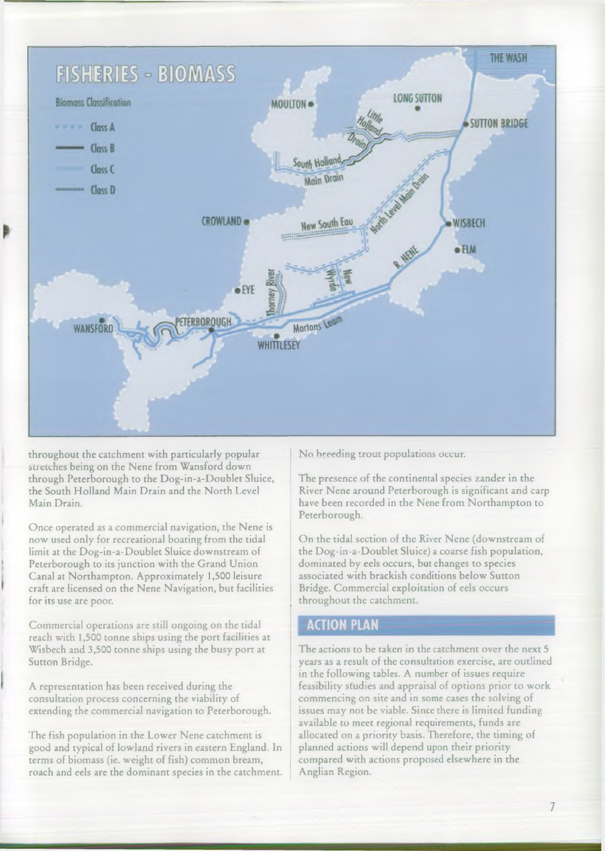

throughout the catchment with particularly popular stretches being on the Nene from Wansford down through Peterborough to the Dog-in-a-Doublet Sluice, the South Holland Main Drain and the North Level Main Drain.

Once operated as a commercial navigation, the Nene is now used only for recreational boating from the tidal limit at the Dog-in-a-Doublet Sluice downstream of Peterborough to its junction with the Grand Union Canal at Northampton. Approximately 1,500 leisure craft are licensed on the Nene Navigation, but facilities for its use are poor.

Commercial operations are still ongoing on the tidal reach with 1,500 tonne ships using the port facilities at Wisbech and 3,500 tonne ships using the busy port at Sutton Bridge.

A representation has been received during the consultation process concerning the viability of extending the commercial navigation to Peterborough.

The fish population in the Lower Nene catchment is good and typical of lowland rivers in eastern England. In terms of biomass (ie. weight of fish) common bream, roach and eels are the dominant species in the catchment. No breeding trout populations occur.

The presence of the continental species zander in the River Nene around Peterborough is significant and carp have been recorded in the Nene from Northampton to Peterborough.

On the tidal section of the River Nene (downstream of the Dog-in-a-Doublet Sluice) a coarse fish population, dominated by eels occurs, but changes to species associated with brackish conditions below Sutton Bridge. Commercial exploitation of eels occurs throughout the catchment.

#### **ACTION PLAN**

The actions to be taken in the catchment over the next 5 years as a result of the consultation exercise, are outlined in the following tables. A number of issues require feasibility studies and appraisal of options prior to work commencing on site and in some cases the solving of issues may not be viable. Since there is limited funding available to meet regional requirements, funds are allocated on a priority basis. Therefore, the timing of planned actions will depend upon their priority compared with actions proposed elsewhere in the Anglian Region.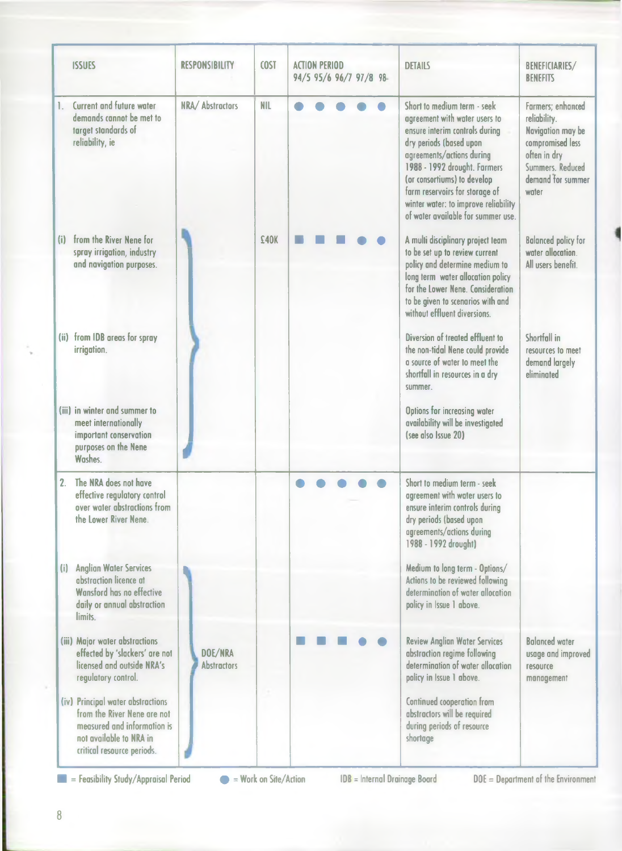| <b>ISSUES</b>                                                                                                                                            | <b>RESPONSIBILITY</b>         | COST       | <b>ACTION PERIOD</b><br><b>DETAILS</b><br>94/5 95/6 96/7 97/8 98                                                                                                                                                                                                                                                                      | <b>BENEFICIARIES/</b><br><b>BENEFITS</b>                                                                                                     |
|----------------------------------------------------------------------------------------------------------------------------------------------------------|-------------------------------|------------|---------------------------------------------------------------------------------------------------------------------------------------------------------------------------------------------------------------------------------------------------------------------------------------------------------------------------------------|----------------------------------------------------------------------------------------------------------------------------------------------|
| Current and future water<br>1.<br>demands cannot be met to<br>target standards of<br>reliability, ie                                                     | NRA/Abstractors               | <b>NIL</b> | Short to medium term - seek<br>agreement with water users to<br>ensure interim controls during<br>dry periods (based upon<br>agreements/actions during<br>1988 - 1992 drought. Farmers<br>(or consortiums) to develop<br>farm reservoirs for storage of<br>winter water: to improve reliability<br>of water available for summer use. | Farmers; enhanced<br>reliability.<br>Navigation may be<br>compromised less<br>often in dry<br>Summers. Reduced<br>demand for summer<br>water |
| from the River Nene for<br>(i)<br>spray irrigation, industry<br>and navigation purposes.                                                                 |                               | £40K       | A multi disciplinary project team<br>to be set up to review current<br>policy and determine medium to<br>long term water allocation policy<br>for the Lower Nene. Consideration<br>to be given to scenarios with and<br>without effluent diversions.                                                                                  | <b>Balanced policy for</b><br>water allocation.<br>All users benefit.                                                                        |
| (ii) from IDB areas for spray<br>irrigation.                                                                                                             |                               |            | Diversion of treated effluent to<br>the non-tidal Nene could provide<br>a source of water to meet the<br>shortfall in resources in a dry<br>summer.                                                                                                                                                                                   | Shortfall in<br>resources to meet<br>demand largely<br>eliminated                                                                            |
| (iii) in winter and summer to<br>meet internationally<br>important conservation<br>purposes on the Nene<br>Washes.                                       |                               |            | Options for increasing water<br>availability will be investigated<br>(see also Issue 20)                                                                                                                                                                                                                                              |                                                                                                                                              |
| The NRA does not have<br>2.<br>effective regulatory control<br>over water abstractions from<br>the Lower River Nene.                                     |                               |            | Short to medium term - seek<br>agreement with water users to<br>ensure interim controls during<br>dry periods (based upon<br>agreements/actions during<br>1988 - 1992 drought)                                                                                                                                                        |                                                                                                                                              |
| (i) Anglian Water Services<br>abstraction licence at<br>Wansford has no effective<br>daily or annual abstraction<br>limits.                              |                               |            | Medium to long term - Options/<br>Actions to be reviewed following<br>determination of water allocation<br>policy in Issue 1 above.                                                                                                                                                                                                   |                                                                                                                                              |
| (iii) Major water abstractions<br>effected by 'slackers' are not<br>licensed and outside NRA's<br>regulatory control.                                    | DOE/NRA<br><b>Abstractors</b> |            | <b>Review Anglian Water Services</b><br>abstraction regime following<br>determination of water allocation<br>policy in Issue 1 above.                                                                                                                                                                                                 | <b>Balanced water</b><br>usage and improved<br>resource<br>management                                                                        |
| (iv) Principal water abstractions<br>from the River Nene are not<br>measured and information is<br>not available to NRA in<br>critical resource periods. |                               |            | Continued cooperation from<br>abstractors will be required<br>during periods of resource<br>shortage                                                                                                                                                                                                                                  |                                                                                                                                              |

**EXECUTE:** Feasibility Study/Appraisal Period  $\bullet$  = Work on Site/Action IDB = Internal Drainage Board DOE = Department of the Environment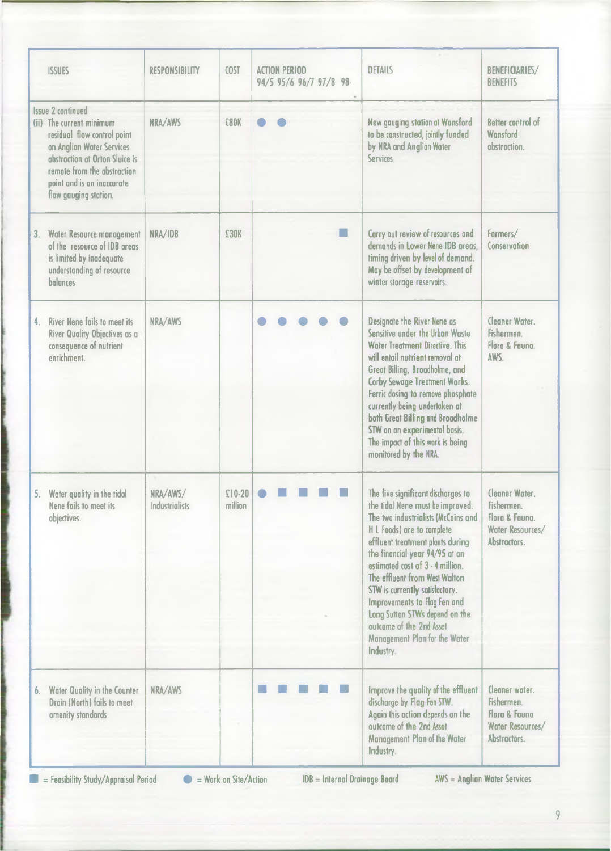| <b>ISSUES</b>                                                                                                                                                                                                                            | <b>RESPONSIBILITY</b>             | COST                | <b>ACTION PERIOD</b><br>94/5 95/6 96/7 97/8 98- | <b>DETAILS</b>                                                                                                                                                                                                                                                                                                                                                                                                                                                       | <b>BENEFICIARIES/</b><br><b>BENEFITS</b>                                           |
|------------------------------------------------------------------------------------------------------------------------------------------------------------------------------------------------------------------------------------------|-----------------------------------|---------------------|-------------------------------------------------|----------------------------------------------------------------------------------------------------------------------------------------------------------------------------------------------------------------------------------------------------------------------------------------------------------------------------------------------------------------------------------------------------------------------------------------------------------------------|------------------------------------------------------------------------------------|
| <b>Issue 2 continued</b><br>(ii) The current minimum<br>residual flow control point<br>on Anglian Water Services<br>abstraction at Orton Sluice is<br>remote from the abstraction<br>point and is an inaccurate<br>flow gauging station. | NRA/AWS                           | £80K                |                                                 | New gauging station at Wansford<br>to be constructed, jointly funded<br>by NRA and Anglian Water<br><b>Services</b>                                                                                                                                                                                                                                                                                                                                                  | <b>Better control of</b><br>Wansford<br>abstraction.                               |
| 3. Water Resource management<br>of the resource of IDB areas<br>is limited by inadequate<br>understanding of resource<br>balances                                                                                                        | NRA/IDB                           | £30K                |                                                 | Carry out review of resources and<br>demands in Lower Nene IDB areas.<br>timing driven by level of demand.<br>May be offset by development of<br>winter storage reservoirs.                                                                                                                                                                                                                                                                                          | Farmers/<br>Conservation                                                           |
| <b>River Nene fails to meet its</b><br>4.<br>River Quality Objectives as a<br>consequence of nutrient<br>enrichment.                                                                                                                     | NRA/AWS                           |                     |                                                 | Designate the River Nene as<br>Sensitive under the Urban Waste<br><b>Water Treatment Directive. This</b><br>will entail nutrient removal at<br>Great Billing, Broadholme, and<br><b>Corby Sewage Treatment Works.</b><br>Ferric dosing to remove phosphate<br>currently being undertaken at<br>both Great Billing and Broadholme<br>STW on an experimental basis.<br>The impact of this work is being<br>monitored by the NRA.                                       | Cleaner Water.<br>Fishermen.<br>Flora & Fauna.<br>AWS.                             |
| Water quality in the tidal<br>5.<br>Nene fails to meet its<br>objectives.                                                                                                                                                                | NRA/AWS/<br><b>Industrialists</b> | $$10-20$<br>million |                                                 | The five significant discharges to<br>the tidal Nene must be improved.<br>The two industrialists (McCains and<br>H L Foods) are to complete<br>effluent treatment plants during<br>the financial year 94/95 at an<br>estimated cost of 3 - 4 million.<br>The effluent from West Walton<br>STW is currently satisfactory.<br>Improvements to Flag Fen and<br>Long Sutton STWs depend on the<br>outcome of the 2nd Asset<br>Management Plan for the Water<br>Industry. | Cleaner Water.<br>Fishermen.<br>Flora & Fauna.<br>Water Resources/<br>Abstractors. |
| <b>Water Quality in the Counter</b><br>6.<br>Drain (North) fails to meet<br>amenity standards                                                                                                                                            | NRA/AWS                           |                     |                                                 | Improve the quality of the effluent<br>discharge by Flag Fen STW.<br>Again this action depends on the<br>outcome of the 2nd Asset<br>Management Plan of the Water<br>Industry.                                                                                                                                                                                                                                                                                       | Cleaner water.<br>Fishermen.<br>Flora & Fauna<br>Water Resources/<br>Abstractors.  |

**EXECUTE:** Feasibility Study/Appraisal Period  $\bullet$  = Work on Site/Action IDB = Internal Drainage Board AWS = Anglian Water Services

of the latter and and collection in the state of the latter and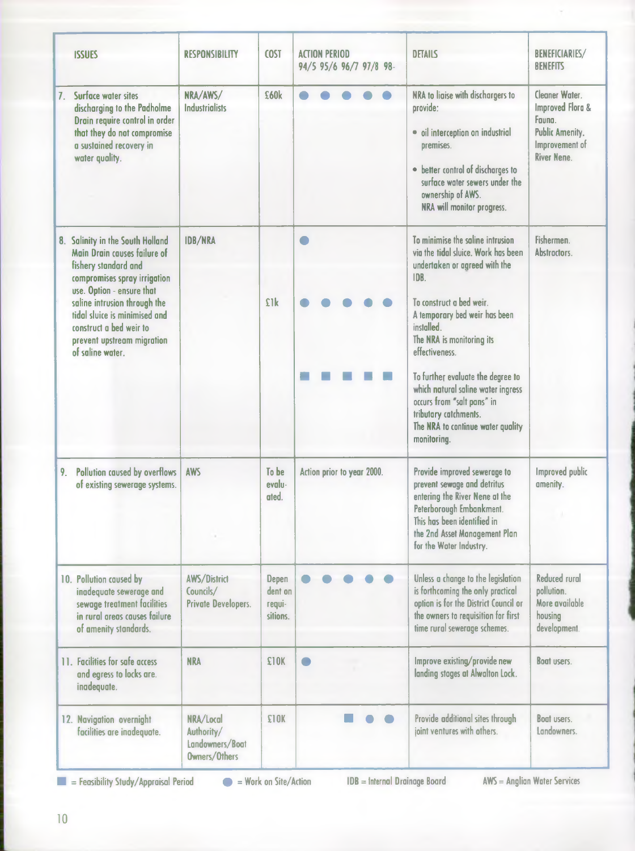|                | <b>ISSUES</b>                                                                                                                                                                                                                                                                                       | <b>RESPONSIBILITY</b>                                       | <b>COST</b>                            | <b>ACTION PERIOD</b><br>94/5 95/6 96/7 97/8 98- | <b>DETAILS</b>                                                                                                                                                                                                                                                                                                                                                                                                                   | <b>BENEFICIARIES/</b><br><b>BENEFITS</b>                                                                                  |
|----------------|-----------------------------------------------------------------------------------------------------------------------------------------------------------------------------------------------------------------------------------------------------------------------------------------------------|-------------------------------------------------------------|----------------------------------------|-------------------------------------------------|----------------------------------------------------------------------------------------------------------------------------------------------------------------------------------------------------------------------------------------------------------------------------------------------------------------------------------------------------------------------------------------------------------------------------------|---------------------------------------------------------------------------------------------------------------------------|
| 7 <sub>1</sub> | Surface water sites<br>discharging to the Padholme<br>Drain require control in order<br>that they do not compromise<br>a sustained recovery in<br>water quality.                                                                                                                                    | NRA/AWS/<br><b>Industrialists</b>                           | £60k                                   |                                                 | NRA to liaise with dischargers to<br>provide:<br>· oil interception on industrial<br>premises.<br>• better control of discharges to<br>surface water sewers under the<br>ownership of AWS.<br>NRA will monitor progress.                                                                                                                                                                                                         | Cleaner Water.<br><b>Improved Flora &amp;</b><br>Fauna.<br><b>Public Amenity.</b><br>Improvement of<br><b>River Nene.</b> |
|                | 8. Salinity in the South Holland<br>Main Drain causes failure of<br>fishery standard and<br>compromises spray irrigation<br>use. Option - ensure that<br>saline intrusion through the<br>tidal sluice is minimised and<br>construct a bed weir to<br>prevent upstream migration<br>of saline water. | <b>IDB/NRA</b>                                              | £1k                                    | $\blacksquare$                                  | To minimise the saline intrusion<br>via the tidal sluice. Work has been<br>undertaken or agreed with the<br>IDB.<br>To construct a bed weir.<br>A temporary bed weir has been<br>installed.<br>The NRA is monitoring its<br>effectiveness.<br>To further evaluate the degree to<br>which natural saline water ingress<br>occurs from "salt pans" in<br>tributary catchments.<br>The NRA to continue water quality<br>monitoring. | Fishermen.<br>Abstractors.                                                                                                |
| 9.             | <b>Pollution caused by overflows</b><br>of existing sewerage systems.                                                                                                                                                                                                                               | <b>AWS</b>                                                  | To be<br>evalu-<br>ated.               | Action prior to year 2000.                      | Provide improved sewerage to<br>prevent sewage and detritus<br>entering the River Nene at the<br>Peterborough Embankment.<br>This has been identified in<br>the 2nd Asset Management Plan<br>for the Water Industry.                                                                                                                                                                                                             | <b>Improved public</b><br>amenity.                                                                                        |
|                | 10. Pollution caused by<br>inadequate sewerage and<br>sewage treatment facilities<br>in rural areas causes failure<br>of amenity standards.                                                                                                                                                         | <b>AWS/District</b><br>Councils/<br>Private Developers.     | Depen<br>dent on<br>requi-<br>sitions. |                                                 | Unless a change to the legislation<br>is forthcoming the only practical<br>option is for the District Council or<br>the owners to requisition for first<br>time rural sewerage schemes.                                                                                                                                                                                                                                          | <b>Reduced rural</b><br>pollution.<br>More available<br>housing<br>development.                                           |
|                | 11. Facilities for safe access<br>and egress to locks are.<br>inadequate.                                                                                                                                                                                                                           | <b>NRA</b>                                                  | £10K                                   |                                                 | Improve existing/provide new<br>landing stages at Alwalton Lock.                                                                                                                                                                                                                                                                                                                                                                 | <b>Boat users.</b>                                                                                                        |
|                | 12. Navigation overnight<br>facilities are inadequate.                                                                                                                                                                                                                                              | NRA/Local<br>Authority/<br>Landowners/Boat<br>Owners/Others | <b>£10K</b>                            |                                                 | Provide additional sites through<br>joint ventures with others.                                                                                                                                                                                                                                                                                                                                                                  | <b>Boat users.</b><br>Landowners.                                                                                         |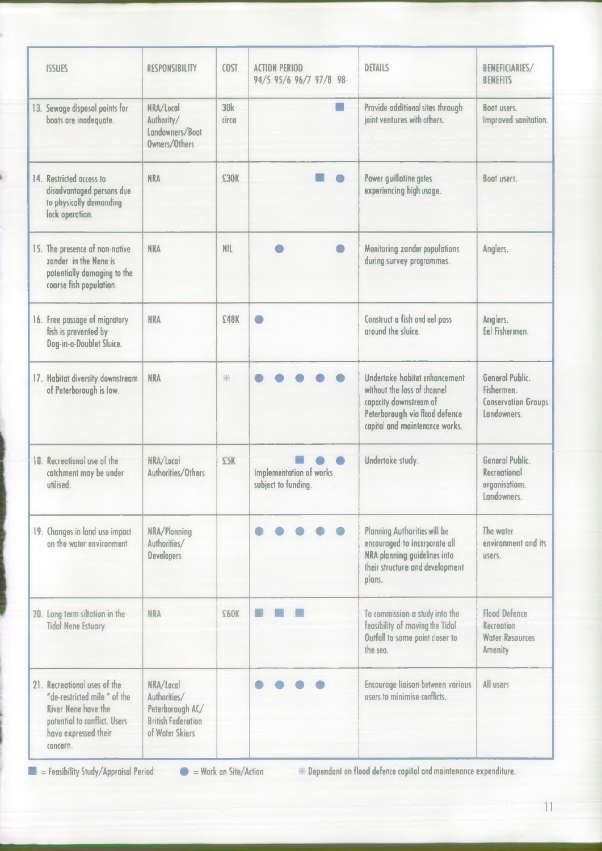| <b>ISSUES</b>                                                                                                                                           | <b>RESPONSIBILITY</b>                                                                         | <b>COST</b>         | <b>ACTION PERIOD</b><br>94/5 95/6 96/7 97/8 98- | <b>DETAILS</b>                                                                                                                                             | BENEFICIARIES/<br><b>BENEFITS</b>                                                     |
|---------------------------------------------------------------------------------------------------------------------------------------------------------|-----------------------------------------------------------------------------------------------|---------------------|-------------------------------------------------|------------------------------------------------------------------------------------------------------------------------------------------------------------|---------------------------------------------------------------------------------------|
| 13. Sewage disposal points for<br>boats are inadequate.                                                                                                 | NRA/Local<br>Authority/<br>Landowners/Boat<br>Owners/Others                                   | <b>30k</b><br>circa | m.                                              | Provide additional sites through<br>joint ventures with others.                                                                                            | Boot users<br>Improved sanitation.                                                    |
| 14. Restricted access to<br>disadvantaged persons due<br>to physically demanding<br>lock operation.                                                     | <b>NRA</b>                                                                                    | £30K                |                                                 | Power guillotine gates<br>experiencing high usage.                                                                                                         | Boat users.                                                                           |
| 15. The presence of non-native<br>zander in the Nene is<br>potentially damaging to the<br>coarse fish population.                                       | <b>NRA</b>                                                                                    | <b>NIL</b>          |                                                 | <b>Monitoring zander populations</b><br>during survey programmes.                                                                                          | Anglers.                                                                              |
| 16. Free passage of migratory<br>fish is prevented by<br>Dog-in-a-Doublet Sluice.                                                                       | <b>NRA</b>                                                                                    | £48K                |                                                 | Construct a fish and eel pass<br>around the sluice.                                                                                                        | Anglers.<br>Eel Fishermen.                                                            |
| 17. Habitat diversity downstream<br>of Peterborough is low.                                                                                             | <b>NRA</b>                                                                                    | *                   |                                                 | Undertake habitat enhancement<br>without the loss of channel<br>capacity downstream of<br>Peterborough via flood defence<br>capital and maintenance works. | General Public.<br>Fishermen.<br><b>Conservation Groups.</b><br>Landowners.           |
| 16. Recreational use of the<br>catchment may be under<br>utilised.                                                                                      | NRA/Local<br>Authorities/Others                                                               | £5K                 | Implementation of works<br>subject to funding.  | Undertake study.                                                                                                                                           | <b>General Public.</b><br><b>Recreational</b><br>organisations.<br>Landowners.        |
| 19. Changes in land use impact<br>on the water environment                                                                                              | NRA/Plonning<br>Authorities/<br><b>Developers</b>                                             |                     |                                                 | <b>Planning Authorities will be</b><br>encouraged to incorporate all<br>NRA planning guidelines into<br>their structure and development<br>plans.          | The water<br>environment and its<br>users.                                            |
| 20. Long term siltation in the<br><b>Tidal Nene Estuary.</b>                                                                                            | <b>NRA</b>                                                                                    | £60K                |                                                 | To commission a study into the<br>feasibility of moving the Tidal<br>Outfall to some point closer to<br>the sea.                                           | <b>Flood Defence</b><br><b>Recreation</b><br><b>Water Resources</b><br><b>Amenity</b> |
| 21. Recreational uses of the<br>"de-restricted mile " of the<br>River Nene have the<br>potential to conflict. Users<br>have expressed their<br>concern. | NRA/Local<br>Authorities/<br>Peterborough AC/<br><b>British Federation</b><br>of Water Skiers |                     |                                                 | Encourage liaison between various<br>users to minimise conflicts.                                                                                          | All users                                                                             |

**■ = Feasibility Study/Appraisal Period # = Work on Site/Action Dependant on flood defence capital and maintenance expenditure.**

**11**